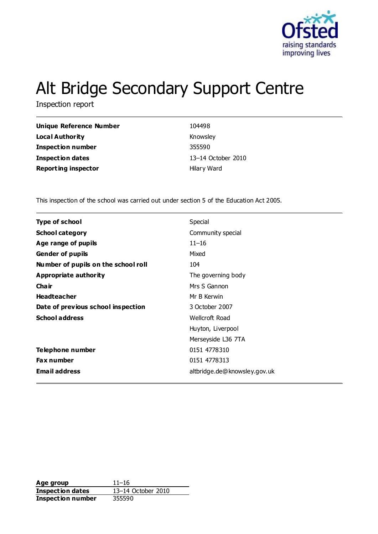

# Alt Bridge Secondary Support Centre

Inspection report

| Unique Reference Number    | 104498             |
|----------------------------|--------------------|
| Local Authority            | Knowsley           |
| <b>Inspection number</b>   | 355590             |
| <b>Inspection dates</b>    | 13-14 October 2010 |
| <b>Reporting inspector</b> | Hilary Ward        |

This inspection of the school was carried out under section 5 of the Education Act 2005.

| <b>Type of school</b>               | Special                      |
|-------------------------------------|------------------------------|
| <b>School category</b>              | Community special            |
| Age range of pupils                 | $11 - 16$                    |
| Gender of pupils                    | Mixed                        |
| Number of pupils on the school roll | 104                          |
| Appropriate authority               | The governing body           |
| Cha ir                              | Mrs S Gannon                 |
| <b>Headteacher</b>                  | Mr B Kerwin                  |
| Date of previous school inspection  | 3 October 2007               |
| <b>School address</b>               | Wellcroft Road               |
|                                     | Huyton, Liverpool            |
|                                     | Merseyside L36 7TA           |
| Telephone number                    | 0151 4778310                 |
| <b>Fax number</b>                   | 0151 4778313                 |
| <b>Email address</b>                | altbridge.de@knowsley.gov.uk |

**Age group** 11–16<br> **Inspection dates** 13–14 October 2010 **Inspection dates Inspection number** 355590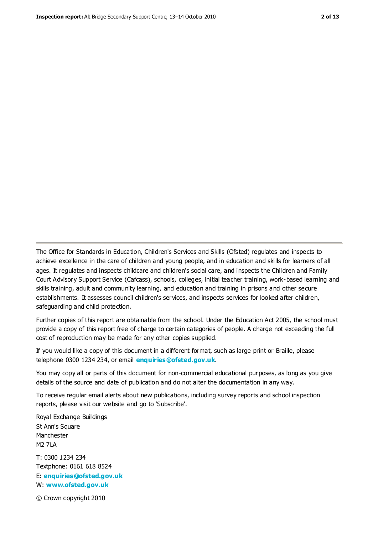The Office for Standards in Education, Children's Services and Skills (Ofsted) regulates and inspects to achieve excellence in the care of children and young people, and in education and skills for learners of all ages. It regulates and inspects childcare and children's social care, and inspects the Children and Family Court Advisory Support Service (Cafcass), schools, colleges, initial teacher training, work-based learning and skills training, adult and community learning, and education and training in prisons and other secure establishments. It assesses council children's services, and inspects services for looked after children, safeguarding and child protection.

Further copies of this report are obtainable from the school. Under the Education Act 2005, the school must provide a copy of this report free of charge to certain categories of people. A charge not exceeding the full cost of reproduction may be made for any other copies supplied.

If you would like a copy of this document in a different format, such as large print or Braille, please telephone 0300 1234 234, or email **[enquiries@ofsted.gov.uk](mailto:enquiries@ofsted.gov.uk)**.

You may copy all or parts of this document for non-commercial educational purposes, as long as you give details of the source and date of publication and do not alter the documentation in any way.

To receive regular email alerts about new publications, including survey reports and school inspection reports, please visit our website and go to 'Subscribe'.

Royal Exchange Buildings St Ann's Square Manchester M2 7LA T: 0300 1234 234 Textphone: 0161 618 8524 E: **[enquiries@ofsted.gov.uk](mailto:enquiries@ofsted.gov.uk)**

W: **[www.ofsted.gov.uk](http://www.ofsted.gov.uk/)**

© Crown copyright 2010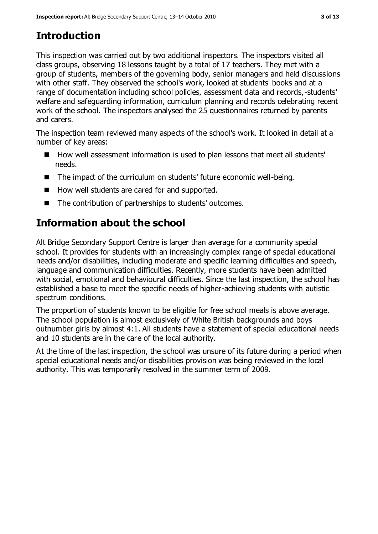# **Introduction**

This inspection was carried out by two additional inspectors. The inspectors visited all class groups, observing 18 lessons taught by a total of 17 teachers. They met with a group of students, members of the governing body, senior managers and held discussions with other staff. They observed the school's work, looked at students' books and at a range of documentation including school policies, assessment data and records,-students' welfare and safeguarding information, curriculum planning and records celebrating recent work of the school. The inspectors analysed the 25 questionnaires returned by parents and carers.

The inspection team reviewed many aspects of the school's work. It looked in detail at a number of key areas:

- How well assessment information is used to plan lessons that meet all students' needs.
- The impact of the curriculum on students' future economic well-being.
- How well students are cared for and supported.
- The contribution of partnerships to students' outcomes.

# **Information about the school**

Alt Bridge Secondary Support Centre is larger than average for a community special school. It provides for students with an increasingly complex range of special educational needs and/or disabilities, including moderate and specific learning difficulties and speech, language and communication difficulties. Recently, more students have been admitted with social, emotional and behavioural difficulties. Since the last inspection, the school has established a base to meet the specific needs of higher-achieving students with autistic spectrum conditions.

The proportion of students known to be eligible for free school meals is above average. The school population is almost exclusively of White British backgrounds and boys outnumber girls by almost 4:1. All students have a statement of special educational needs and 10 students are in the care of the local authority.

At the time of the last inspection, the school was unsure of its future during a period when special educational needs and/or disabilities provision was being reviewed in the local authority. This was temporarily resolved in the summer term of 2009.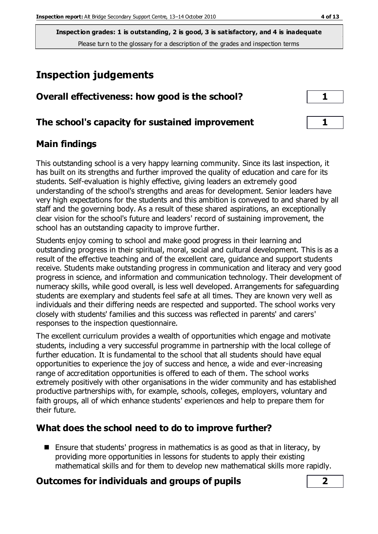## **Inspection judgements**

| Overall effectiveness: how good is the school?  |  |
|-------------------------------------------------|--|
| The school's capacity for sustained improvement |  |

#### **Main findings**

This outstanding school is a very happy learning community. Since its last inspection, it has built on its strengths and further improved the quality of education and care for its students. Self-evaluation is highly effective, giving leaders an extremely good understanding of the school's strengths and areas for development. Senior leaders have very high expectations for the students and this ambition is conveyed to and shared by all staff and the governing body. As a result of these shared aspirations, an exceptionally clear vision for the school's future and leaders' record of sustaining improvement, the school has an outstanding capacity to improve further.

Students enjoy coming to school and make good progress in their learning and outstanding progress in their spiritual, moral, social and cultural development. This is as a result of the effective teaching and of the excellent care, guidance and support students receive. Students make outstanding progress in communication and literacy and very good progress in science, and information and communication technology. Their development of numeracy skills, while good overall, is less well developed. Arrangements for safeguarding students are exemplary and students feel safe at all times. They are known very well as individuals and their differing needs are respected and supported. The school works very closely with students' families and this success was reflected in parents' and carers' responses to the inspection questionnaire.

The excellent curriculum provides a wealth of opportunities which engage and motivate students, including a very successful programme in partnership with the local college of further education. It is fundamental to the school that all students should have equal opportunities to experience the joy of success and hence, a wide and ever-increasing range of accreditation opportunities is offered to each of them. The school works extremely positively with other organisations in the wider community and has established productive partnerships with, for example, schools, colleges, employers, voluntary and faith groups, all of which enhance students' experiences and help to prepare them for their future.

## **What does the school need to do to improve further?**

**Ensure that students' progress in mathematics is as good as that in literacy, by** providing more opportunities in lessons for students to apply their existing mathematical skills and for them to develop new mathematical skills more rapidly.

#### **Outcomes for individuals and groups of pupils 2**

| ۰,<br>٠ |  |
|---------|--|
| . .     |  |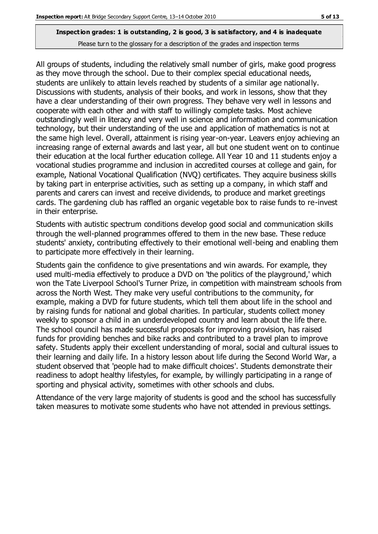All groups of students, including the relatively small number of girls, make good progress as they move through the school. Due to their complex special educational needs, students are unlikely to attain levels reached by students of a similar age nationally. Discussions with students, analysis of their books, and work in lessons, show that they have a clear understanding of their own progress. They behave very well in lessons and cooperate with each other and with staff to willingly complete tasks. Most achieve outstandingly well in literacy and very well in science and information and communication technology, but their understanding of the use and application of mathematics is not at the same high level. Overall, attainment is rising year-on-year. Leavers enjoy achieving an increasing range of external awards and last year, all but one student went on to continue their education at the local further education college. All Year 10 and 11 students enjoy a vocational studies programme and inclusion in accredited courses at college and gain, for example, National Vocational Qualification (NVQ) certificates. They acquire business skills by taking part in enterprise activities, such as setting up a company, in which staff and parents and carers can invest and receive dividends, to produce and market greetings cards. The gardening club has raffled an organic vegetable box to raise funds to re-invest in their enterprise.

Students with autistic spectrum conditions develop good social and communication skills through the well-planned programmes offered to them in the new base. These reduce students' anxiety, contributing effectively to their emotional well-being and enabling them to participate more effectively in their learning.

Students gain the confidence to give presentations and win awards. For example, they used multi-media effectively to produce a DVD on 'the politics of the playground,' which won the Tate Liverpool School's Turner Prize, in competition with mainstream schools from across the North West. They make very useful contributions to the community, for example, making a DVD for future students, which tell them about life in the school and by raising funds for national and global charities. In particular, students collect money weekly to sponsor a child in an underdeveloped country and learn about the life there. The school council has made successful proposals for improving provision, has raised funds for providing benches and bike racks and contributed to a travel plan to improve safety. Students apply their excellent understanding of moral, social and cultural issues to their learning and daily life. In a history lesson about life during the Second World War, a student observed that 'people had to make difficult choices'. Students demonstrate their readiness to adopt healthy lifestyles, for example, by willingly participating in a range of sporting and physical activity, sometimes with other schools and clubs.

Attendance of the very large majority of students is good and the school has successfully taken measures to motivate some students who have not attended in previous settings.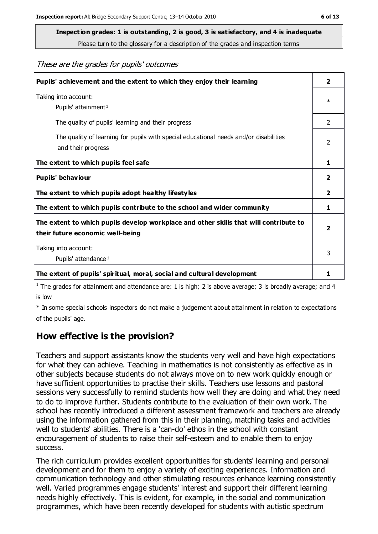**Inspection grades: 1 is outstanding, 2 is good, 3 is satisfactory, and 4 is inadequate**

Please turn to the glossary for a description of the grades and inspection terms

#### These are the grades for pupils' outcomes

| Pupils' achievement and the extent to which they enjoy their learning                                                     | $\overline{\mathbf{2}}$ |
|---------------------------------------------------------------------------------------------------------------------------|-------------------------|
| Taking into account:<br>Pupils' attainment <sup>1</sup>                                                                   | $\ast$                  |
| The quality of pupils' learning and their progress                                                                        | $\mathcal{P}$           |
| The quality of learning for pupils with special educational needs and/or disabilities<br>and their progress               | $\mathfrak{p}$          |
| The extent to which pupils feel safe                                                                                      | 1                       |
| Pupils' behaviour                                                                                                         | 2                       |
| The extent to which pupils adopt healthy lifestyles                                                                       | 2                       |
| The extent to which pupils contribute to the school and wider community                                                   | 1                       |
| The extent to which pupils develop workplace and other skills that will contribute to<br>their future economic well-being | $\overline{\mathbf{2}}$ |
| Taking into account:<br>Pupils' attendance <sup>1</sup>                                                                   | 3                       |
| The extent of pupils' spiritual, moral, social and cultural development                                                   | 1                       |

<sup>1</sup> The grades for attainment and attendance are: 1 is high; 2 is above average; 3 is broadly average; and 4 is low

\* In some special schools inspectors do not make a judgement about attainment in relation to expectations of the pupils' age.

#### **How effective is the provision?**

Teachers and support assistants know the students very well and have high expectations for what they can achieve. Teaching in mathematics is not consistently as effective as in other subjects because students do not always move on to new work quickly enough or have sufficient opportunities to practise their skills. Teachers use lessons and pastoral sessions very successfully to remind students how well they are doing and what they need to do to improve further. Students contribute to the evaluation of their own work. The school has recently introduced a different assessment framework and teachers are already using the information gathered from this in their planning, matching tasks and activities well to students' abilities. There is a 'can-do' ethos in the school with constant encouragement of students to raise their self-esteem and to enable them to enjoy success.

The rich curriculum provides excellent opportunities for students' learning and personal development and for them to enjoy a variety of exciting experiences. Information and communication technology and other stimulating resources enhance learning consistently well. Varied programmes engage students' interest and support their different learning needs highly effectively. This is evident, for example, in the social and communication programmes, which have been recently developed for students with autistic spectrum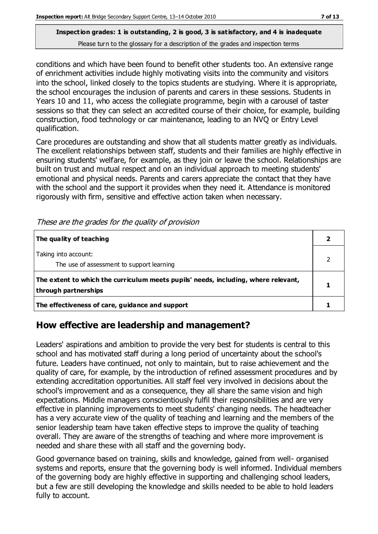conditions and which have been found to benefit other students too. An extensive range of enrichment activities include highly motivating visits into the community and visitors into the school, linked closely to the topics students are studying. Where it is appropriate, the school encourages the inclusion of parents and carers in these sessions. Students in Years 10 and 11, who access the collegiate programme, begin with a carousel of taster sessions so that they can select an accredited course of their choice, for example, building construction, food technology or car maintenance, leading to an NVQ or Entry Level qualification.

Care procedures are outstanding and show that all students matter greatly as individuals. The excellent relationships between staff, students and their families are highly effective in ensuring students' welfare, for example, as they join or leave the school. Relationships are built on trust and mutual respect and on an individual approach to meeting students' emotional and physical needs. Parents and carers appreciate the contact that they have with the school and the support it provides when they need it. Attendance is monitored rigorously with firm, sensitive and effective action taken when necessary.

| The quality of teaching                                                                                    |  |
|------------------------------------------------------------------------------------------------------------|--|
| Taking into account:<br>The use of assessment to support learning                                          |  |
| The extent to which the curriculum meets pupils' needs, including, where relevant,<br>through partnerships |  |
| The effectiveness of care, guidance and support                                                            |  |

These are the grades for the quality of provision

## **How effective are leadership and management?**

Leaders' aspirations and ambition to provide the very best for students is central to this school and has motivated staff during a long period of uncertainty about the school's future. Leaders have continued, not only to maintain, but to raise achievement and the quality of care, for example, by the introduction of refined assessment procedures and by extending accreditation opportunities. All staff feel very involved in decisions about the school's improvement and as a consequence, they all share the same vision and high expectations. Middle managers conscientiously fulfil their responsibilities and are very effective in planning improvements to meet students' changing needs. The headteacher has a very accurate view of the quality of teaching and learning and the members of the senior leadership team have taken effective steps to improve the quality of teaching overall. They are aware of the strengths of teaching and where more improvement is needed and share these with all staff and the governing body.

Good governance based on training, skills and knowledge, gained from well- organised systems and reports, ensure that the governing body is well informed. Individual members of the governing body are highly effective in supporting and challenging school leaders, but a few are still developing the knowledge and skills needed to be able to hold leaders fully to account.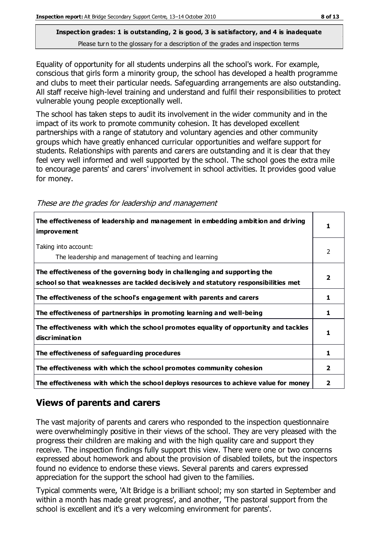Equality of opportunity for all students underpins all the school's work. For example, conscious that girls form a minority group, the school has developed a health programme and clubs to meet their particular needs. Safeguarding arrangements are also outstanding. All staff receive high-level training and understand and fulfil their responsibilities to protect vulnerable young people exceptionally well.

The school has taken steps to audit its involvement in the wider community and in the impact of its work to promote community cohesion. It has developed excellent partnerships with a range of statutory and voluntary agencies and other community groups which have greatly enhanced curricular opportunities and welfare support for students. Relationships with parents and carers are outstanding and it is clear that they feel very well informed and well supported by the school. The school goes the extra mile to encourage parents' and carers' involvement in school activities. It provides good value for money.

| These are the grades for leadership and management |  |  |  |
|----------------------------------------------------|--|--|--|
|----------------------------------------------------|--|--|--|

| The effectiveness of leadership and management in embedding ambition and driving<br><i>improvement</i>                                                           |                |
|------------------------------------------------------------------------------------------------------------------------------------------------------------------|----------------|
| Taking into account:<br>The leadership and management of teaching and learning                                                                                   | 2              |
| The effectiveness of the governing body in challenging and supporting the<br>school so that weaknesses are tackled decisively and statutory responsibilities met | $\overline{2}$ |
| The effectiveness of the school's engagement with parents and carers                                                                                             | 1              |
| The effectiveness of partnerships in promoting learning and well-being                                                                                           | 1              |
| The effectiveness with which the school promotes equality of opportunity and tackles<br>discrimination                                                           | 1              |
| The effectiveness of safeguarding procedures                                                                                                                     | 1              |
| The effectiveness with which the school promotes community cohesion                                                                                              | $\mathbf{2}$   |
| The effectiveness with which the school deploys resources to achieve value for money                                                                             |                |

## **Views of parents and carers**

The vast majority of parents and carers who responded to the inspection questionnaire were overwhelmingly positive in their views of the school. They are very pleased with the progress their children are making and with the high quality care and support they receive. The inspection findings fully support this view. There were one or two concerns expressed about homework and about the provision of disabled toilets, but the inspectors found no evidence to endorse these views. Several parents and carers expressed appreciation for the support the school had given to the families.

Typical comments were, 'Alt Bridge is a brilliant school; my son started in September and within a month has made great progress', and another, 'The pastoral support from the school is excellent and it's a very welcoming environment for parents'.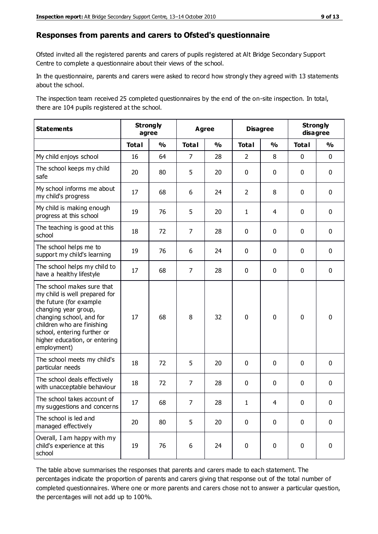#### **Responses from parents and carers to Ofsted's questionnaire**

Ofsted invited all the registered parents and carers of pupils registered at Alt Bridge Secondary Support Centre to complete a questionnaire about their views of the school.

In the questionnaire, parents and carers were asked to record how strongly they agreed with 13 statements about the school.

The inspection team received 25 completed questionnaires by the end of the on-site inspection. In total, there are 104 pupils registered at the school.

| <b>Statements</b>                                                                                                                                                                                                                                       | <b>Strongly</b><br>agree |               | <b>Agree</b>   |               | <b>Disagree</b> |               | <b>Strongly</b><br>disagree |               |
|---------------------------------------------------------------------------------------------------------------------------------------------------------------------------------------------------------------------------------------------------------|--------------------------|---------------|----------------|---------------|-----------------|---------------|-----------------------------|---------------|
|                                                                                                                                                                                                                                                         | <b>Total</b>             | $\frac{0}{0}$ | <b>Total</b>   | $\frac{0}{0}$ | <b>Total</b>    | $\frac{0}{0}$ | <b>Total</b>                | $\frac{0}{0}$ |
| My child enjoys school                                                                                                                                                                                                                                  | 16                       | 64            | $\overline{7}$ | 28            | $\overline{2}$  | 8             | $\mathbf 0$                 | $\mathbf 0$   |
| The school keeps my child<br>safe                                                                                                                                                                                                                       | 20                       | 80            | 5              | 20            | 0               | 0             | $\mathbf 0$                 | $\mathbf 0$   |
| My school informs me about<br>my child's progress                                                                                                                                                                                                       | 17                       | 68            | 6              | 24            | $\overline{2}$  | 8             | $\mathbf 0$                 | $\mathbf 0$   |
| My child is making enough<br>progress at this school                                                                                                                                                                                                    | 19                       | 76            | 5              | 20            | $\mathbf{1}$    | 4             | 0                           | $\mathbf 0$   |
| The teaching is good at this<br>school                                                                                                                                                                                                                  | 18                       | 72            | $\overline{7}$ | 28            | 0               | 0             | $\mathbf{0}$                | $\mathbf 0$   |
| The school helps me to<br>support my child's learning                                                                                                                                                                                                   | 19                       | 76            | 6              | 24            | 0               | 0             | 0                           | $\mathbf 0$   |
| The school helps my child to<br>have a healthy lifestyle                                                                                                                                                                                                | 17                       | 68            | $\overline{7}$ | 28            | 0               | 0             | $\mathbf 0$                 | $\mathbf 0$   |
| The school makes sure that<br>my child is well prepared for<br>the future (for example<br>changing year group,<br>changing school, and for<br>children who are finishing<br>school, entering further or<br>higher education, or entering<br>employment) | 17                       | 68            | 8              | 32            | $\mathbf 0$     | 0             | $\mathbf 0$                 | $\mathbf 0$   |
| The school meets my child's<br>particular needs                                                                                                                                                                                                         | 18                       | 72            | 5              | 20            | 0               | 0             | $\mathbf 0$                 | $\mathbf 0$   |
| The school deals effectively<br>with unacceptable behaviour                                                                                                                                                                                             | 18                       | 72            | $\overline{7}$ | 28            | 0               | 0             | 0                           | $\pmb{0}$     |
| The school takes account of<br>my suggestions and concerns                                                                                                                                                                                              | $17$                     | 68            | 7              | 28            | 1               | 4             | 0                           | 0             |
| The school is led and<br>managed effectively                                                                                                                                                                                                            | 20                       | 80            | 5              | 20            | $\mathbf 0$     | 0             | $\mathbf 0$                 | $\mathbf 0$   |
| Overall, I am happy with my<br>child's experience at this<br>school                                                                                                                                                                                     | 19                       | 76            | 6              | 24            | 0               | 0             | $\mathbf 0$                 | $\mathbf 0$   |

The table above summarises the responses that parents and carers made to each statement. The percentages indicate the proportion of parents and carers giving that response out of the total number of completed questionnaires. Where one or more parents and carers chose not to answer a particular question, the percentages will not add up to 100%.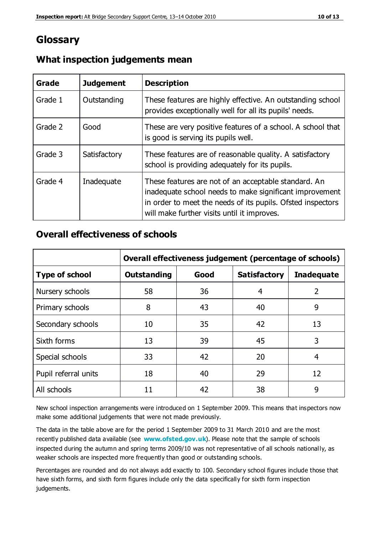## **Glossary**

| Grade   | <b>Judgement</b> | <b>Description</b>                                                                                                                                                                                                            |
|---------|------------------|-------------------------------------------------------------------------------------------------------------------------------------------------------------------------------------------------------------------------------|
| Grade 1 | Outstanding      | These features are highly effective. An outstanding school<br>provides exceptionally well for all its pupils' needs.                                                                                                          |
| Grade 2 | Good             | These are very positive features of a school. A school that<br>is good is serving its pupils well.                                                                                                                            |
| Grade 3 | Satisfactory     | These features are of reasonable quality. A satisfactory<br>school is providing adequately for its pupils.                                                                                                                    |
| Grade 4 | Inadequate       | These features are not of an acceptable standard. An<br>inadequate school needs to make significant improvement<br>in order to meet the needs of its pupils. Ofsted inspectors<br>will make further visits until it improves. |

#### **What inspection judgements mean**

#### **Overall effectiveness of schools**

|                       | Overall effectiveness judgement (percentage of schools) |      |                     |                   |
|-----------------------|---------------------------------------------------------|------|---------------------|-------------------|
| <b>Type of school</b> | <b>Outstanding</b>                                      | Good | <b>Satisfactory</b> | <b>Inadequate</b> |
| Nursery schools       | 58                                                      | 36   | 4                   | $\overline{2}$    |
| Primary schools       | 8                                                       | 43   | 40                  | 9                 |
| Secondary schools     | 10                                                      | 35   | 42                  | 13                |
| Sixth forms           | 13                                                      | 39   | 45                  | 3                 |
| Special schools       | 33                                                      | 42   | 20                  | 4                 |
| Pupil referral units  | 18                                                      | 40   | 29                  | 12                |
| All schools           | 11                                                      | 42   | 38                  | 9                 |

New school inspection arrangements were introduced on 1 September 2009. This means that inspectors now make some additional judgements that were not made previously.

The data in the table above are for the period 1 September 2009 to 31 March 2010 and are the most recently published data available (see **[www.ofsted.gov.uk](http://www.ofsted.gov.uk/)**). Please note that the sample of schools inspected during the autumn and spring terms 2009/10 was not representative of all schools nationally, as weaker schools are inspected more frequently than good or outstanding schools.

Percentages are rounded and do not always add exactly to 100. Secondary school figures include those that have sixth forms, and sixth form figures include only the data specifically for sixth form inspection judgements.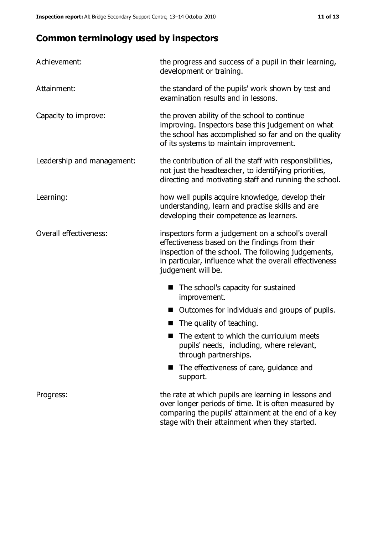## **Common terminology used by inspectors**

| Achievement:               | the progress and success of a pupil in their learning,<br>development or training.                                                                                                                                                          |  |  |
|----------------------------|---------------------------------------------------------------------------------------------------------------------------------------------------------------------------------------------------------------------------------------------|--|--|
| Attainment:                | the standard of the pupils' work shown by test and<br>examination results and in lessons.                                                                                                                                                   |  |  |
| Capacity to improve:       | the proven ability of the school to continue<br>improving. Inspectors base this judgement on what<br>the school has accomplished so far and on the quality<br>of its systems to maintain improvement.                                       |  |  |
| Leadership and management: | the contribution of all the staff with responsibilities,<br>not just the headteacher, to identifying priorities,<br>directing and motivating staff and running the school.                                                                  |  |  |
| Learning:                  | how well pupils acquire knowledge, develop their<br>understanding, learn and practise skills and are<br>developing their competence as learners.                                                                                            |  |  |
| Overall effectiveness:     | inspectors form a judgement on a school's overall<br>effectiveness based on the findings from their<br>inspection of the school. The following judgements,<br>in particular, influence what the overall effectiveness<br>judgement will be. |  |  |
|                            | The school's capacity for sustained<br>improvement.                                                                                                                                                                                         |  |  |
|                            | Outcomes for individuals and groups of pupils.                                                                                                                                                                                              |  |  |
|                            | The quality of teaching.                                                                                                                                                                                                                    |  |  |
|                            | The extent to which the curriculum meets<br>pupils' needs, including, where relevant,<br>through partnerships.                                                                                                                              |  |  |
|                            | The effectiveness of care, guidance and<br>support.                                                                                                                                                                                         |  |  |
| Progress:                  | the rate at which pupils are learning in lessons and<br>over longer periods of time. It is often measured by<br>comparing the pupils' attainment at the end of a key                                                                        |  |  |

stage with their attainment when they started.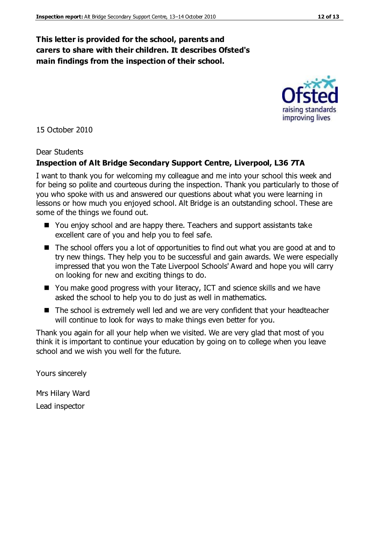#### **This letter is provided for the school, parents and carers to share with their children. It describes Ofsted's main findings from the inspection of their school.**

15 October 2010

#### Dear Students

#### **Inspection of Alt Bridge Secondary Support Centre, Liverpool, L36 7TA**

I want to thank you for welcoming my colleague and me into your school this week and for being so polite and courteous during the inspection. Thank you particularly to those of you who spoke with us and answered our questions about what you were learning in lessons or how much you enjoyed school. Alt Bridge is an outstanding school. These are some of the things we found out.

- You enjoy school and are happy there. Teachers and support assistants take excellent care of you and help you to feel safe.
- The school offers you a lot of opportunities to find out what you are good at and to try new things. They help you to be successful and gain awards. We were especially impressed that you won the Tate Liverpool Schools' Award and hope you will carry on looking for new and exciting things to do.
- You make good progress with your literacy, ICT and science skills and we have asked the school to help you to do just as well in mathematics.
- The school is extremely well led and we are very confident that your headteacher will continue to look for ways to make things even better for you.

Thank you again for all your help when we visited. We are very glad that most of you think it is important to continue your education by going on to college when you leave school and we wish you well for the future.

Yours sincerely

Mrs Hilary Ward Lead inspector